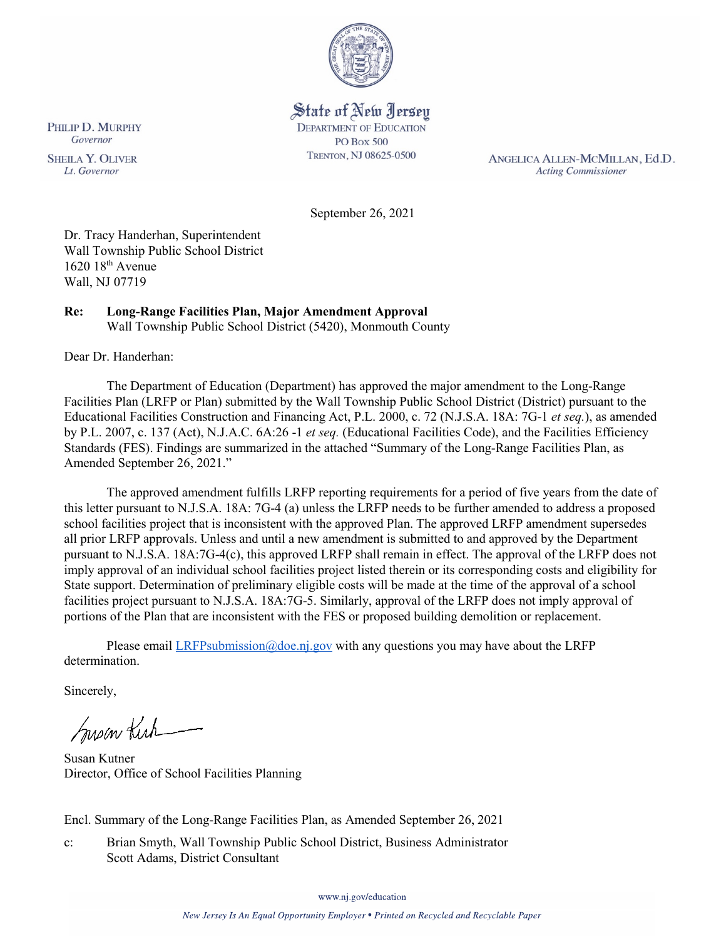

# State of New Jersey **DEPARTMENT OF EDUCATION**

**PO Box 500** TRENTON, NJ 08625-0500

ANGELICA ALLEN-MCMILLAN, Ed.D. **Acting Commissioner** 

September 26, 2021

Dr. Tracy Handerhan, Superintendent Wall Township Public School District  $1620$   $18<sup>th</sup>$  Avenue Wall, NJ 07719

#### **Re: Long-Range Facilities Plan, Major Amendment Approval**  Wall Township Public School District (5420), Monmouth County

Dear Dr. Handerhan:

The Department of Education (Department) has approved the major amendment to the Long-Range Facilities Plan (LRFP or Plan) submitted by the Wall Township Public School District (District) pursuant to the Educational Facilities Construction and Financing Act, P.L. 2000, c. 72 (N.J.S.A. 18A: 7G-1 *et seq.*), as amended by P.L. 2007, c. 137 (Act), N.J.A.C. 6A:26 -1 *et seq.* (Educational Facilities Code), and the Facilities Efficiency Standards (FES). Findings are summarized in the attached "Summary of the Long-Range Facilities Plan, as Amended September 26, 2021."

The approved amendment fulfills LRFP reporting requirements for a period of five years from the date of this letter pursuant to N.J.S.A. 18A: 7G-4 (a) unless the LRFP needs to be further amended to address a proposed school facilities project that is inconsistent with the approved Plan. The approved LRFP amendment supersedes all prior LRFP approvals. Unless and until a new amendment is submitted to and approved by the Department pursuant to N.J.S.A. 18A:7G-4(c), this approved LRFP shall remain in effect. The approval of the LRFP does not imply approval of an individual school facilities project listed therein or its corresponding costs and eligibility for State support. Determination of preliminary eligible costs will be made at the time of the approval of a school facilities project pursuant to N.J.S.A. 18A:7G-5. Similarly, approval of the LRFP does not imply approval of portions of the Plan that are inconsistent with the FES or proposed building demolition or replacement.

Please email  $LRFP submission@doe.nj.gov$  with any questions you may have about the LRFP determination.

Sincerely,

Susan Kich

Susan Kutner Director, Office of School Facilities Planning

Encl. Summary of the Long-Range Facilities Plan, as Amended September 26, 2021

c: Brian Smyth, Wall Township Public School District, Business Administrator Scott Adams, District Consultant

www.nj.gov/education

PHILIP D. MURPHY Governor

**SHEILA Y. OLIVER** Lt. Governor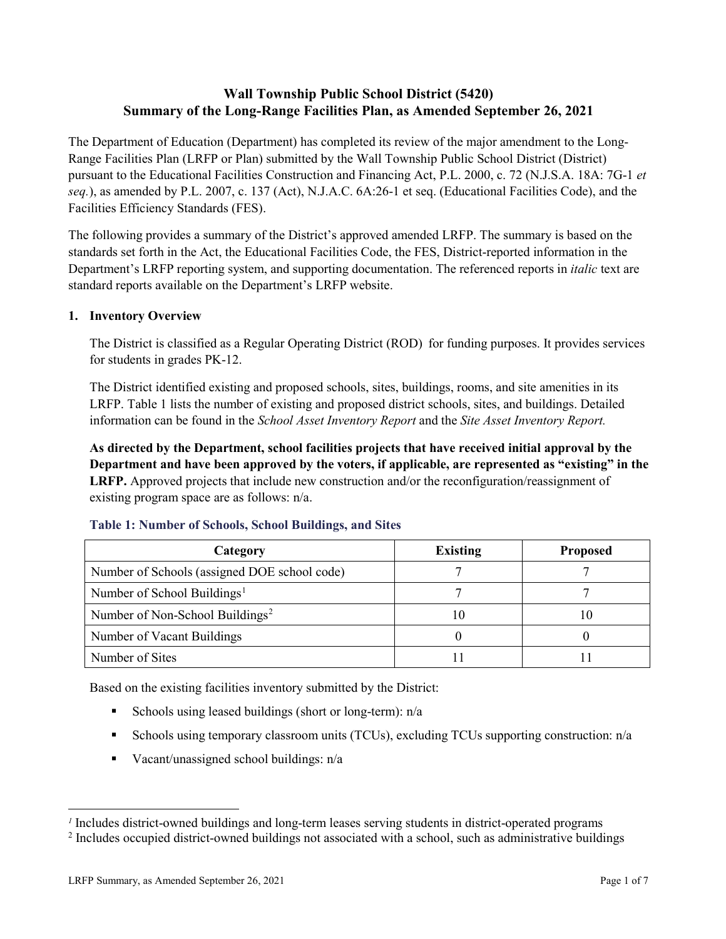# **Wall Township Public School District (5420) Summary of the Long-Range Facilities Plan, as Amended September 26, 2021**

The Department of Education (Department) has completed its review of the major amendment to the Long-Range Facilities Plan (LRFP or Plan) submitted by the Wall Township Public School District (District) pursuant to the Educational Facilities Construction and Financing Act, P.L. 2000, c. 72 (N.J.S.A. 18A: 7G-1 *et seq.*), as amended by P.L. 2007, c. 137 (Act), N.J.A.C. 6A:26-1 et seq. (Educational Facilities Code), and the Facilities Efficiency Standards (FES).

The following provides a summary of the District's approved amended LRFP. The summary is based on the standards set forth in the Act, the Educational Facilities Code, the FES, District-reported information in the Department's LRFP reporting system, and supporting documentation. The referenced reports in *italic* text are standard reports available on the Department's LRFP website.

## **1. Inventory Overview**

The District is classified as a Regular Operating District (ROD) for funding purposes. It provides services for students in grades PK-12.

The District identified existing and proposed schools, sites, buildings, rooms, and site amenities in its LRFP. Table 1 lists the number of existing and proposed district schools, sites, and buildings. Detailed information can be found in the *School Asset Inventory Report* and the *Site Asset Inventory Report.*

**As directed by the Department, school facilities projects that have received initial approval by the Department and have been approved by the voters, if applicable, are represented as "existing" in the LRFP.** Approved projects that include new construction and/or the reconfiguration/reassignment of existing program space are as follows: n/a.

| Category                                     | <b>Existing</b> | <b>Proposed</b> |
|----------------------------------------------|-----------------|-----------------|
| Number of Schools (assigned DOE school code) |                 |                 |
| Number of School Buildings <sup>1</sup>      |                 |                 |
| Number of Non-School Buildings <sup>2</sup>  |                 | ГU              |
| Number of Vacant Buildings                   |                 |                 |
| Number of Sites                              |                 |                 |

## **Table 1: Number of Schools, School Buildings, and Sites**

Based on the existing facilities inventory submitted by the District:

- Schools using leased buildings (short or long-term):  $n/a$
- Schools using temporary classroom units (TCUs), excluding TCUs supporting construction: n/a
- Vacant/unassigned school buildings:  $n/a$

 $\overline{a}$ 

*<sup>1</sup>* Includes district-owned buildings and long-term leases serving students in district-operated programs

<sup>&</sup>lt;sup>2</sup> Includes occupied district-owned buildings not associated with a school, such as administrative buildings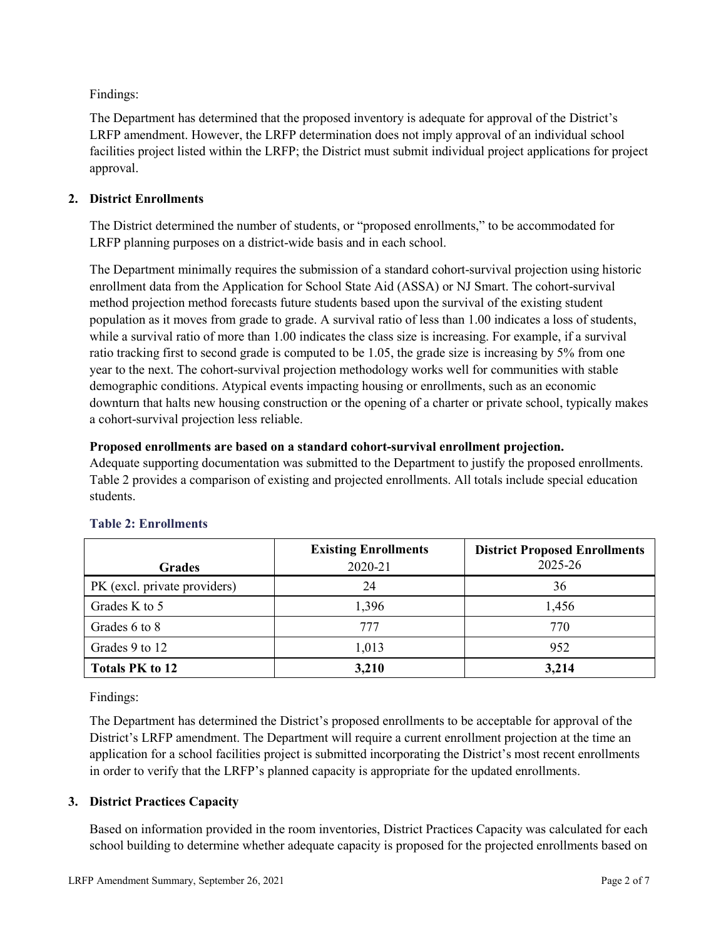Findings:

The Department has determined that the proposed inventory is adequate for approval of the District's LRFP amendment. However, the LRFP determination does not imply approval of an individual school facilities project listed within the LRFP; the District must submit individual project applications for project approval.

## **2. District Enrollments**

The District determined the number of students, or "proposed enrollments," to be accommodated for LRFP planning purposes on a district-wide basis and in each school.

The Department minimally requires the submission of a standard cohort-survival projection using historic enrollment data from the Application for School State Aid (ASSA) or NJ Smart. The cohort-survival method projection method forecasts future students based upon the survival of the existing student population as it moves from grade to grade. A survival ratio of less than 1.00 indicates a loss of students, while a survival ratio of more than 1.00 indicates the class size is increasing. For example, if a survival ratio tracking first to second grade is computed to be 1.05, the grade size is increasing by 5% from one year to the next. The cohort-survival projection methodology works well for communities with stable demographic conditions. Atypical events impacting housing or enrollments, such as an economic downturn that halts new housing construction or the opening of a charter or private school, typically makes a cohort-survival projection less reliable.

## **Proposed enrollments are based on a standard cohort-survival enrollment projection.**

Adequate supporting documentation was submitted to the Department to justify the proposed enrollments. Table 2 provides a comparison of existing and projected enrollments. All totals include special education students.

|                              | <b>Existing Enrollments</b> | <b>District Proposed Enrollments</b> |
|------------------------------|-----------------------------|--------------------------------------|
| <b>Grades</b>                | 2020-21                     | 2025-26                              |
| PK (excl. private providers) | 24                          | 36                                   |
| Grades K to 5                | 1,396                       | 1,456                                |
| Grades 6 to 8                | 777                         | 770                                  |
| Grades 9 to 12               | 1,013                       | 952                                  |
| <b>Totals PK to 12</b>       | 3,210                       | 3,214                                |

# **Table 2: Enrollments**

Findings:

The Department has determined the District's proposed enrollments to be acceptable for approval of the District's LRFP amendment. The Department will require a current enrollment projection at the time an application for a school facilities project is submitted incorporating the District's most recent enrollments in order to verify that the LRFP's planned capacity is appropriate for the updated enrollments.

# **3. District Practices Capacity**

Based on information provided in the room inventories, District Practices Capacity was calculated for each school building to determine whether adequate capacity is proposed for the projected enrollments based on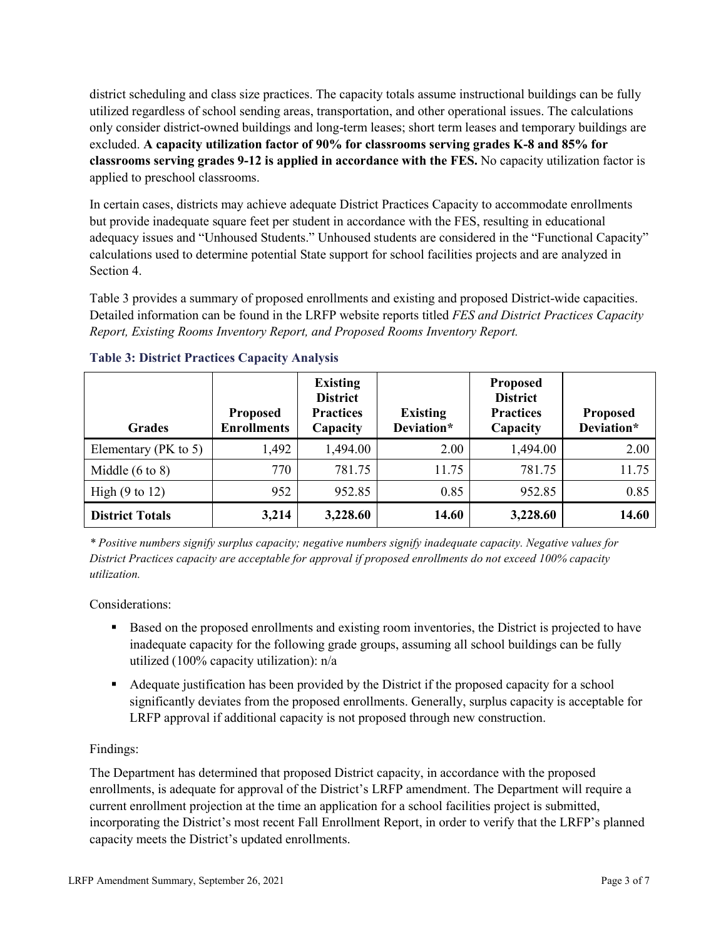district scheduling and class size practices. The capacity totals assume instructional buildings can be fully utilized regardless of school sending areas, transportation, and other operational issues. The calculations only consider district-owned buildings and long-term leases; short term leases and temporary buildings are excluded. **A capacity utilization factor of 90% for classrooms serving grades K-8 and 85% for classrooms serving grades 9-12 is applied in accordance with the FES.** No capacity utilization factor is applied to preschool classrooms.

In certain cases, districts may achieve adequate District Practices Capacity to accommodate enrollments but provide inadequate square feet per student in accordance with the FES, resulting in educational adequacy issues and "Unhoused Students." Unhoused students are considered in the "Functional Capacity" calculations used to determine potential State support for school facilities projects and are analyzed in Section 4.

Table 3 provides a summary of proposed enrollments and existing and proposed District-wide capacities. Detailed information can be found in the LRFP website reports titled *FES and District Practices Capacity Report, Existing Rooms Inventory Report, and Proposed Rooms Inventory Report.*

| <b>Grades</b>              | <b>Proposed</b><br><b>Enrollments</b> | <b>Existing</b><br><b>District</b><br><b>Practices</b><br>Capacity | <b>Existing</b><br>Deviation* | <b>Proposed</b><br><b>District</b><br><b>Practices</b><br>Capacity | <b>Proposed</b><br>Deviation* |
|----------------------------|---------------------------------------|--------------------------------------------------------------------|-------------------------------|--------------------------------------------------------------------|-------------------------------|
| Elementary ( $PK$ to 5)    | 1,492                                 | 1,494.00                                                           | 2.00                          | 1,494.00                                                           | 2.00                          |
| Middle $(6 \text{ to } 8)$ | 770                                   | 781.75                                                             | 11.75                         | 781.75                                                             | 11.75                         |
| High $(9 \text{ to } 12)$  | 952                                   | 952.85                                                             | 0.85                          | 952.85                                                             | 0.85                          |
| <b>District Totals</b>     | 3,214                                 | 3,228.60                                                           | 14.60                         | 3,228.60                                                           | 14.60                         |

## **Table 3: District Practices Capacity Analysis**

*\* Positive numbers signify surplus capacity; negative numbers signify inadequate capacity. Negative values for District Practices capacity are acceptable for approval if proposed enrollments do not exceed 100% capacity utilization.*

Considerations:

- Based on the proposed enrollments and existing room inventories, the District is projected to have inadequate capacity for the following grade groups, assuming all school buildings can be fully utilized (100% capacity utilization): n/a
- Adequate justification has been provided by the District if the proposed capacity for a school significantly deviates from the proposed enrollments. Generally, surplus capacity is acceptable for LRFP approval if additional capacity is not proposed through new construction.

## Findings:

The Department has determined that proposed District capacity, in accordance with the proposed enrollments, is adequate for approval of the District's LRFP amendment. The Department will require a current enrollment projection at the time an application for a school facilities project is submitted, incorporating the District's most recent Fall Enrollment Report, in order to verify that the LRFP's planned capacity meets the District's updated enrollments.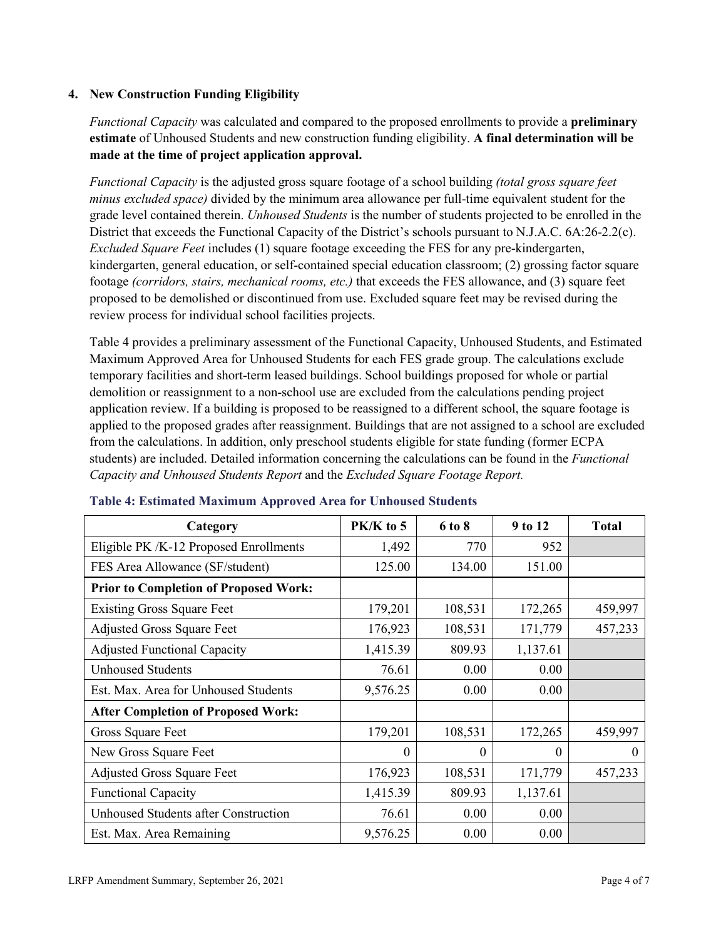#### **4. New Construction Funding Eligibility**

*Functional Capacity* was calculated and compared to the proposed enrollments to provide a **preliminary estimate** of Unhoused Students and new construction funding eligibility. **A final determination will be made at the time of project application approval.**

*Functional Capacity* is the adjusted gross square footage of a school building *(total gross square feet minus excluded space)* divided by the minimum area allowance per full-time equivalent student for the grade level contained therein. *Unhoused Students* is the number of students projected to be enrolled in the District that exceeds the Functional Capacity of the District's schools pursuant to N.J.A.C. 6A:26-2.2(c). *Excluded Square Feet* includes (1) square footage exceeding the FES for any pre-kindergarten, kindergarten, general education, or self-contained special education classroom; (2) grossing factor square footage *(corridors, stairs, mechanical rooms, etc.)* that exceeds the FES allowance, and (3) square feet proposed to be demolished or discontinued from use. Excluded square feet may be revised during the review process for individual school facilities projects.

Table 4 provides a preliminary assessment of the Functional Capacity, Unhoused Students, and Estimated Maximum Approved Area for Unhoused Students for each FES grade group. The calculations exclude temporary facilities and short-term leased buildings. School buildings proposed for whole or partial demolition or reassignment to a non-school use are excluded from the calculations pending project application review. If a building is proposed to be reassigned to a different school, the square footage is applied to the proposed grades after reassignment. Buildings that are not assigned to a school are excluded from the calculations. In addition, only preschool students eligible for state funding (former ECPA students) are included. Detailed information concerning the calculations can be found in the *Functional Capacity and Unhoused Students Report* and the *Excluded Square Footage Report.*

| Category                                     | $PK/K$ to 5 | 6 to 8  | 9 to 12  | <b>Total</b> |
|----------------------------------------------|-------------|---------|----------|--------------|
| Eligible PK /K-12 Proposed Enrollments       | 1,492       | 770     | 952      |              |
| FES Area Allowance (SF/student)              | 125.00      | 134.00  | 151.00   |              |
| <b>Prior to Completion of Proposed Work:</b> |             |         |          |              |
| <b>Existing Gross Square Feet</b>            | 179,201     | 108,531 | 172,265  | 459,997      |
| <b>Adjusted Gross Square Feet</b>            | 176,923     | 108,531 | 171,779  | 457,233      |
| <b>Adjusted Functional Capacity</b>          | 1,415.39    | 809.93  | 1,137.61 |              |
| <b>Unhoused Students</b>                     | 76.61       | 0.00    | 0.00     |              |
| Est. Max. Area for Unhoused Students         | 9,576.25    | 0.00    | 0.00     |              |
| <b>After Completion of Proposed Work:</b>    |             |         |          |              |
| Gross Square Feet                            | 179,201     | 108,531 | 172,265  | 459,997      |
| New Gross Square Feet                        | $\theta$    | 0       | $\theta$ | $\theta$     |
| <b>Adjusted Gross Square Feet</b>            | 176,923     | 108,531 | 171,779  | 457,233      |
| <b>Functional Capacity</b>                   | 1,415.39    | 809.93  | 1,137.61 |              |
| <b>Unhoused Students after Construction</b>  | 76.61       | 0.00    | 0.00     |              |
| Est. Max. Area Remaining                     | 9,576.25    | 0.00    | 0.00     |              |

#### **Table 4: Estimated Maximum Approved Area for Unhoused Students**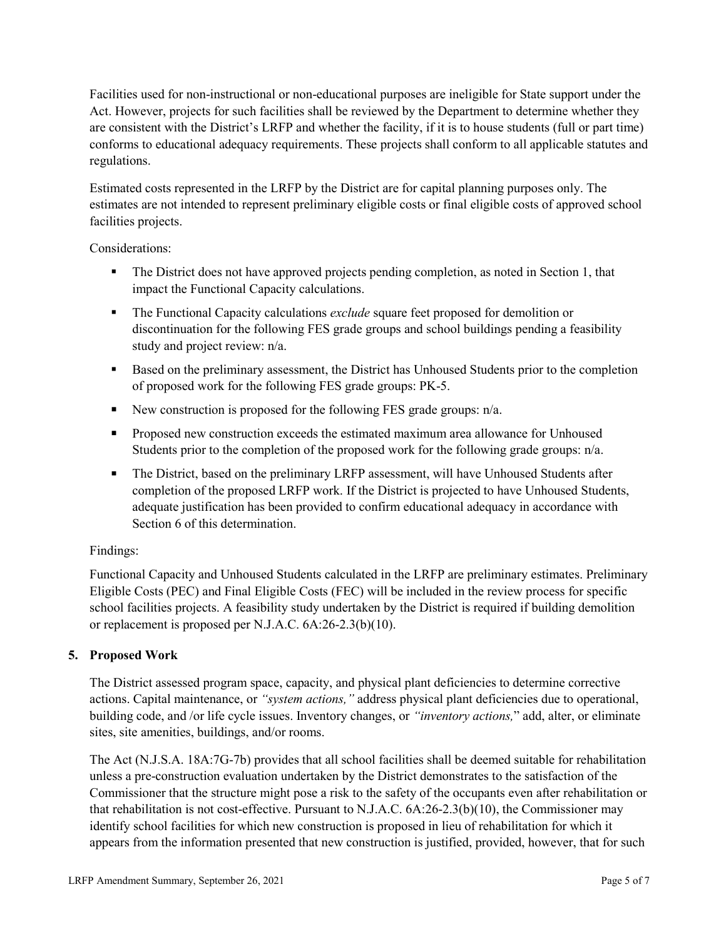Facilities used for non-instructional or non-educational purposes are ineligible for State support under the Act. However, projects for such facilities shall be reviewed by the Department to determine whether they are consistent with the District's LRFP and whether the facility, if it is to house students (full or part time) conforms to educational adequacy requirements. These projects shall conform to all applicable statutes and regulations.

Estimated costs represented in the LRFP by the District are for capital planning purposes only. The estimates are not intended to represent preliminary eligible costs or final eligible costs of approved school facilities projects.

Considerations:

- The District does not have approved projects pending completion, as noted in Section 1, that impact the Functional Capacity calculations.
- **The Functional Capacity calculations** *exclude* square feet proposed for demolition or discontinuation for the following FES grade groups and school buildings pending a feasibility study and project review: n/a.
- **Based on the preliminary assessment, the District has Unhoused Students prior to the completion** of proposed work for the following FES grade groups: PK-5.
- New construction is proposed for the following FES grade groups: n/a.
- **Proposed new construction exceeds the estimated maximum area allowance for Unhoused** Students prior to the completion of the proposed work for the following grade groups: n/a.
- The District, based on the preliminary LRFP assessment, will have Unhoused Students after completion of the proposed LRFP work. If the District is projected to have Unhoused Students, adequate justification has been provided to confirm educational adequacy in accordance with Section 6 of this determination.

## Findings:

Functional Capacity and Unhoused Students calculated in the LRFP are preliminary estimates. Preliminary Eligible Costs (PEC) and Final Eligible Costs (FEC) will be included in the review process for specific school facilities projects. A feasibility study undertaken by the District is required if building demolition or replacement is proposed per N.J.A.C. 6A:26-2.3(b)(10).

## **5. Proposed Work**

The District assessed program space, capacity, and physical plant deficiencies to determine corrective actions. Capital maintenance, or *"system actions,"* address physical plant deficiencies due to operational, building code, and /or life cycle issues. Inventory changes, or *"inventory actions,*" add, alter, or eliminate sites, site amenities, buildings, and/or rooms.

The Act (N.J.S.A. 18A:7G-7b) provides that all school facilities shall be deemed suitable for rehabilitation unless a pre-construction evaluation undertaken by the District demonstrates to the satisfaction of the Commissioner that the structure might pose a risk to the safety of the occupants even after rehabilitation or that rehabilitation is not cost-effective. Pursuant to N.J.A.C. 6A:26-2.3(b)(10), the Commissioner may identify school facilities for which new construction is proposed in lieu of rehabilitation for which it appears from the information presented that new construction is justified, provided, however, that for such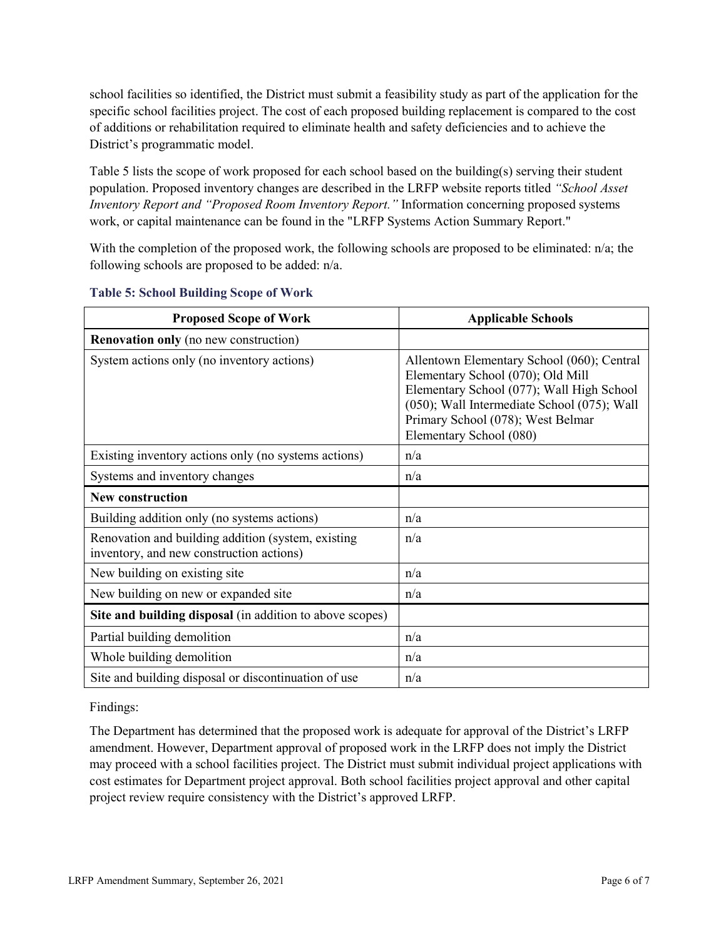school facilities so identified, the District must submit a feasibility study as part of the application for the specific school facilities project. The cost of each proposed building replacement is compared to the cost of additions or rehabilitation required to eliminate health and safety deficiencies and to achieve the District's programmatic model.

Table 5 lists the scope of work proposed for each school based on the building(s) serving their student population. Proposed inventory changes are described in the LRFP website reports titled *"School Asset Inventory Report and "Proposed Room Inventory Report."* Information concerning proposed systems work, or capital maintenance can be found in the "LRFP Systems Action Summary Report."

With the completion of the proposed work, the following schools are proposed to be eliminated: n/a; the following schools are proposed to be added: n/a.

| <b>Proposed Scope of Work</b>                                                                  | <b>Applicable Schools</b>                                                                                                                                                                                                                   |
|------------------------------------------------------------------------------------------------|---------------------------------------------------------------------------------------------------------------------------------------------------------------------------------------------------------------------------------------------|
| <b>Renovation only</b> (no new construction)                                                   |                                                                                                                                                                                                                                             |
| System actions only (no inventory actions)                                                     | Allentown Elementary School (060); Central<br>Elementary School (070); Old Mill<br>Elementary School (077); Wall High School<br>(050); Wall Intermediate School (075); Wall<br>Primary School (078); West Belmar<br>Elementary School (080) |
| Existing inventory actions only (no systems actions)                                           | n/a                                                                                                                                                                                                                                         |
| Systems and inventory changes                                                                  | n/a                                                                                                                                                                                                                                         |
| <b>New construction</b>                                                                        |                                                                                                                                                                                                                                             |
| Building addition only (no systems actions)                                                    | n/a                                                                                                                                                                                                                                         |
| Renovation and building addition (system, existing<br>inventory, and new construction actions) | n/a                                                                                                                                                                                                                                         |
| New building on existing site                                                                  | n/a                                                                                                                                                                                                                                         |
| New building on new or expanded site                                                           | n/a                                                                                                                                                                                                                                         |
| Site and building disposal (in addition to above scopes)                                       |                                                                                                                                                                                                                                             |
| Partial building demolition                                                                    | n/a                                                                                                                                                                                                                                         |
| Whole building demolition                                                                      | n/a                                                                                                                                                                                                                                         |
| Site and building disposal or discontinuation of use                                           | n/a                                                                                                                                                                                                                                         |

#### **Table 5: School Building Scope of Work**

Findings:

The Department has determined that the proposed work is adequate for approval of the District's LRFP amendment. However, Department approval of proposed work in the LRFP does not imply the District may proceed with a school facilities project. The District must submit individual project applications with cost estimates for Department project approval. Both school facilities project approval and other capital project review require consistency with the District's approved LRFP.